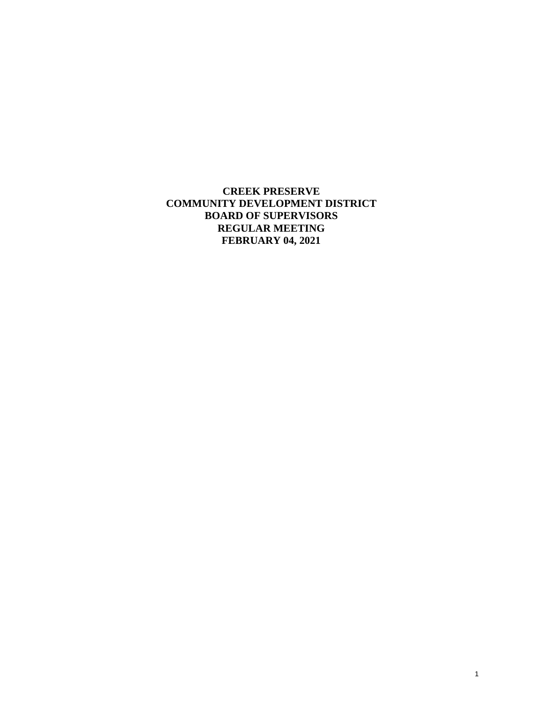**CREEK PRESERVE COMMUNITY DEVELOPMENT DISTRICT BOARD OF SUPERVISORS REGULAR MEETING FEBRUARY 04, 2021**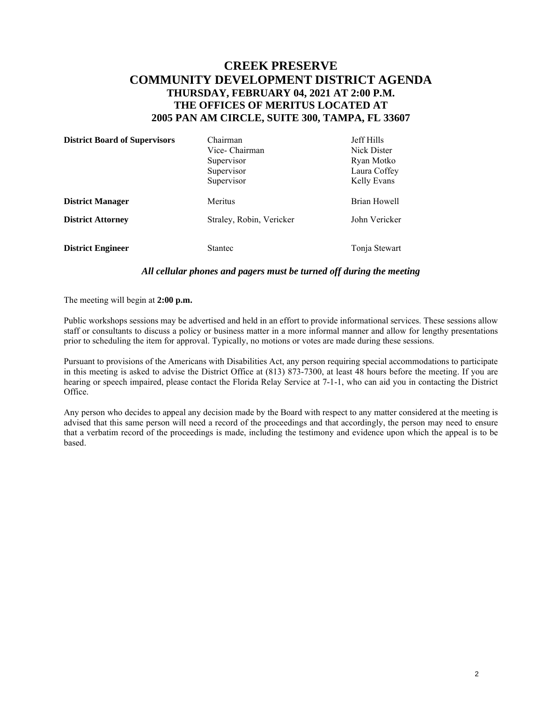# **CREEK PRESERVE COMMUNITY DEVELOPMENT DISTRICT AGENDA THURSDAY, FEBRUARY 04, 2021 AT 2:00 P.M. THE OFFICES OF MERITUS LOCATED AT 2005 PAN AM CIRCLE, SUITE 300, TAMPA, FL 33607**

| <b>District Board of Supervisors</b> | Chairman                 | <b>Jeff Hills</b> |
|--------------------------------------|--------------------------|-------------------|
|                                      | Vice- Chairman           | Nick Dister       |
|                                      | Supervisor               | Ryan Motko        |
|                                      | Supervisor               | Laura Coffey      |
|                                      | Supervisor               | Kelly Evans       |
| <b>District Manager</b>              | Meritus                  | Brian Howell      |
| <b>District Attorney</b>             | Straley, Robin, Vericker | John Vericker     |
| <b>District Engineer</b>             | <b>Stantec</b>           | Tonja Stewart     |

#### *All cellular phones and pagers must be turned off during the meeting*

The meeting will begin at **2:00 p.m.** 

Public workshops sessions may be advertised and held in an effort to provide informational services. These sessions allow staff or consultants to discuss a policy or business matter in a more informal manner and allow for lengthy presentations prior to scheduling the item for approval. Typically, no motions or votes are made during these sessions.

Pursuant to provisions of the Americans with Disabilities Act, any person requiring special accommodations to participate in this meeting is asked to advise the District Office at (813) 873-7300, at least 48 hours before the meeting. If you are hearing or speech impaired, please contact the Florida Relay Service at 7-1-1, who can aid you in contacting the District Office.

Any person who decides to appeal any decision made by the Board with respect to any matter considered at the meeting is advised that this same person will need a record of the proceedings and that accordingly, the person may need to ensure that a verbatim record of the proceedings is made, including the testimony and evidence upon which the appeal is to be based.